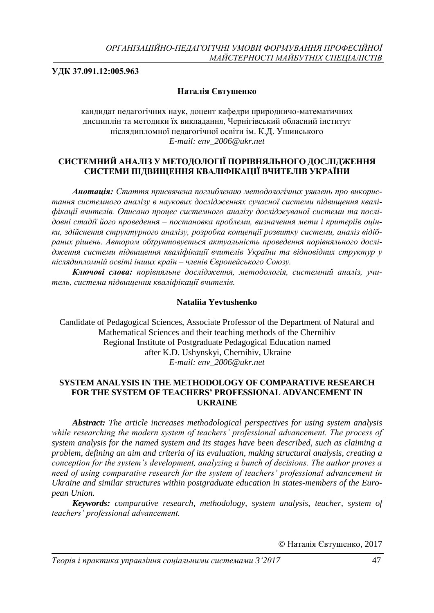**УДК 37.091.12:005.963**

# **Наталія Євтушенко**

кандидат педагогічних наук, доцент кафедри природничо-математичних дисциплін та методики їх викладання, Чернігівський обласний інститут післядипломної педагогічної освіти ім. К.Д. Ушинського *E-mail: [env\\_2006@ukr.net](mailto:env_2006@ukr.net)*

# **СИСТЕМНИЙ АНАЛІЗ У МЕТОДОЛОГІЇ ПОРІВНЯЛЬНОГО ДОСЛІДЖЕННЯ СИСТЕМИ ПІДВИЩЕННЯ КВАЛІФІКАЦІЇ ВЧИТЕЛІВ УКРАЇНИ**

*Анотація: Стаття присвячена поглибленню методологічних уявлень про використання системного аналізу в наукових дослідженнях сучасної системи підвищення кваліфікації вчителів. Описано процес системного аналізу досліджуваної системи та послідовні стадії його проведення – постановка проблеми, визначення мети і критеріїв оцінки, здійснення структурного аналізу, розробка концепції розвитку системи, аналіз відібраних рішень. Автором обґрунтовується актуальність проведення порівняльного дослідження системи підвищення кваліфікації вчителів України та відповідних структур у післядипломній освіті інших країн – членів Європейського Союзу.*

*Ключові слова: порівняльне дослідження, методологія, системний аналіз, учитель, система підвищення кваліфікації вчителів.*

### **Nataliia Yevtushenko**

Candidate of Pedagogical Sciences, Associate Professor of the Department of Natural and Mathematical Sciences and their teaching methods of the Chernihiv Regional Institute of Postgraduate Pedagogical Education named after K.D. Ushynskyi, Chernihiv, Ukraine *E-mail: env\_2006@ukr.net*

### **SYSTEM ANALYSIS IN THE METHODOLOGY OF COMPARATIVE RESEARCH FOR THE SYSTEM OF TEACHERS' PROFESSIONAL ADVANCEMENT IN UKRAINE**

*Abstract: The article increases methodological perspectives for using system analysis while researching the modern system of teachers' professional advancement. The process of system analysis for the named system and its stages have been described, such as claiming a problem, defining an aim and criteria of its evaluation, making structural analysis, creating a conception for the system's development, analyzing a bunch of decisions. The author proves a need of using comparative research for the system of teachers' professional advancement in Ukraine and similar structures within postgraduate education in states-members of the European Union.*

*Keywords: comparative research, methodology, system analysis, teacher, system of teachers' professional advancement.*

Наталія Євтушенко, 2017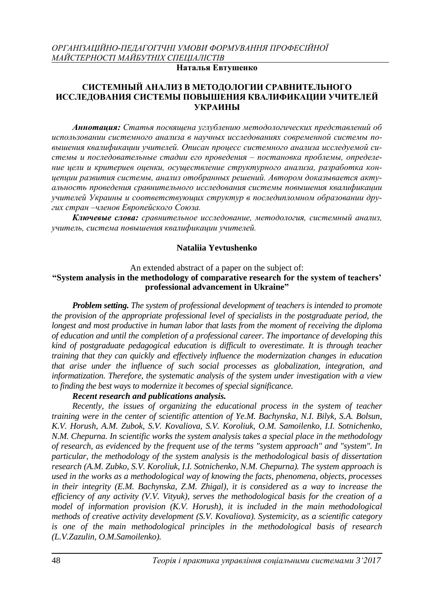# **Наталья Евтушенко**

## **СИСТЕМНЫЙ АНАЛИЗ В МЕТОДОЛОГИИ СРАВНИТЕЛЬНОГО ИССЛЕДОВАНИЯ СИСТЕМЫ ПОВЫШЕНИЯ КВАЛИФИКАЦИИ УЧИТЕЛЕЙ УКРАИНЫ**

*Аннотация: Статья посвящена углублению методологических представлений об использовании системного анализа в научных исследованиях современной системы повышения квалификации учителей. Описан процесс системного анализа исследуемой системы и последовательные стадии его проведения – постановка проблемы, определение цели и критериев оценки, осуществление структурного анализа, разработка концепции развития системы, анализ отобранных решений. Автором доказывается актуальность проведения сравнительного исследования системы повышения квалификации учителей Украины и соответствующих структур в последипломном образовании других стран –членов Европейского Союза.*

*Ключевые слова: сравнительное исследование, методология, системный анализ, учитель, система повышения квалификации учителей.*

### **Nataliia Yevtushenko**

#### An extended abstract of a paper on the subject of: **"System analysis in the methodology of comparative research for the system of teachers' professional advancement in Ukraine"**

*Problem setting. The system of professional development of teachers is intended to promote the provision of the appropriate professional level of specialists in the postgraduate period, the longest and most productive in human labor that lasts from the moment of receiving the diploma of education and until the completion of a professional career. The importance of developing this kind of postgraduate pedagogical education is difficult to overestimate. It is through teacher training that they can quickly and effectively influence the modernization changes in education that arise under the influence of such social processes as globalization, integration, and informatization. Therefore, the systematic analysis of the system under investigation with a view to finding the best ways to modernize it becomes of special significance.*

#### *Recent research and publications analysis.*

*Recently, the issues of organizing the educational process in the system of teacher training were in the center of scientific attention of Ye.M. Bachynska, N.I. Bilyk, S.A. Bolsun, K.V. Horush, A.M. Zubok, S.V. Kovaliova, S.V. Koroliuk, O.M. Samoilenko, I.I. Sotnichenko, N.M. Chepurna. In scientific works the system analysis takes a special place in the methodology of research, as evidenced by the frequent use of the terms "system approach" and "system". In particular, the methodology of the system analysis is the methodological basis of dissertation research (A.M. Zubko, S.V. Koroliuk, I.I. Sotnichenko, N.M. Chepurna). The system approach is used in the works as a methodological way of knowing the facts, phenomena, objects, processes in their integrity (E.M. Bachynska, Z.M. Zhigal), it is considered as a way to increase the efficiency of any activity (V.V. Vityuk), serves the methodological basis for the creation of a model of information provision (K.V. Horush), it is included in the main methodological methods of creative activity development (S.V. Kovaliova). Systemicity, as a scientific category is one of the main methodological principles in the methodological basis of research (L.V.Zazulin, O.M.Samoilenko).*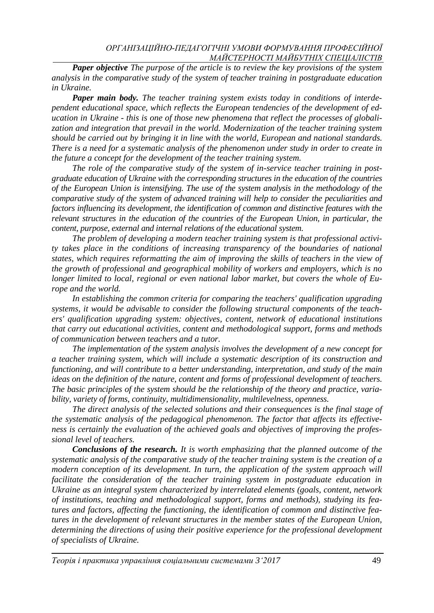*Paper objective The purpose of the article is to review the key provisions of the system analysis in the comparative study of the system of teacher training in postgraduate education in Ukraine.*

*Paper main body. The teacher training system exists today in conditions of interdependent educational space, which reflects the European tendencies of the development of education in Ukraine - this is one of those new phenomena that reflect the processes of globalization and integration that prevail in the world. Modernization of the teacher training system should be carried out by bringing it in line with the world, European and national standards. There is a need for a systematic analysis of the phenomenon under study in order to create in the future a concept for the development of the teacher training system.*

*The role of the comparative study of the system of in-service teacher training in postgraduate education of Ukraine with the corresponding structures in the education of the countries of the European Union is intensifying. The use of the system analysis in the methodology of the comparative study of the system of advanced training will help to consider the peculiarities and factors influencing its development, the identification of common and distinctive features with the relevant structures in the education of the countries of the European Union, in particular, the content, purpose, external and internal relations of the educational system.*

*The problem of developing a modern teacher training system is that professional activity takes place in the conditions of increasing transparency of the boundaries of national states, which requires reformatting the aim of improving the skills of teachers in the view of the growth of professional and geographical mobility of workers and employers, which is no longer limited to local, regional or even national labor market, but covers the whole of Europe and the world.*

*In establishing the common criteria for comparing the teachers' qualification upgrading systems, it would be advisable to consider the following structural components of the teachers' qualification upgrading system: objectives, content, network of educational institutions that carry out educational activities, content and methodological support, forms and methods of communication between teachers and a tutor.*

*The implementation of the system analysis involves the development of a new concept for a teacher training system, which will include a systematic description of its construction and functioning, and will contribute to a better understanding, interpretation, and study of the main ideas on the definition of the nature, content and forms of professional development of teachers. The basic principles of the system should be the relationship of the theory and practice, variability, variety of forms, continuity, multidimensionality, multilevelness, openness.*

*The direct analysis of the selected solutions and their consequences is the final stage of the systematic analysis of the pedagogical phenomenon. The factor that affects its effectiveness is certainly the evaluation of the achieved goals and objectives of improving the professional level of teachers.*

*Conclusions of the research. It is worth emphasizing that the planned outcome of the systematic analysis of the comparative study of the teacher training system is the creation of a modern conception of its development. In turn, the application of the system approach will facilitate the consideration of the teacher training system in postgraduate education in Ukraine as an integral system characterized by interrelated elements (goals, content, network of institutions, teaching and methodological support, forms and methods), studying its features and factors, affecting the functioning, the identification of common and distinctive features in the development of relevant structures in the member states of the European Union, determining the directions of using their positive experience for the professional development of specialists of Ukraine.*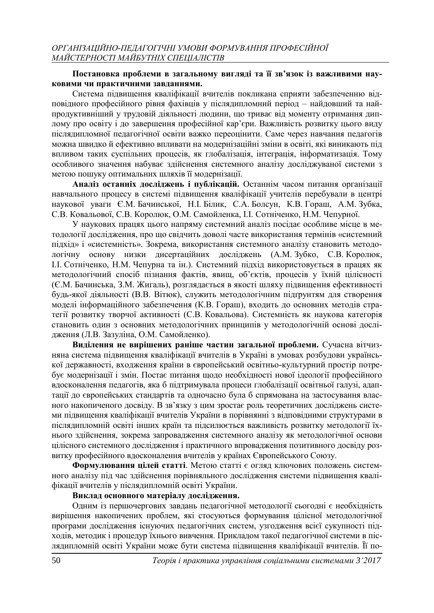### **Постановка проблеми в загальному вигляді та її зв'язок із важливими науковими чи практичними завданнями.**

Система підвищення кваліфікації вчителів покликана сприяти забезпеченню відповідного професійного рівня фахівців у післядипломний період – найдовший та найпродуктивніший у трудовій діяльності людини, що триває від моменту отримання диплому про освіту і до завершення професійної кар'єри. Важливість розвитку цього виду післядипломної педагогічної освіти важко переоцінити. Саме через навчання педагогів можна швидко й ефективно впливати на модернізаційні зміни в освіті, які виникають під впливом таких суспільних процесів, як глобалізація, інтеграція, інформатизація. Тому особливого значення набуває здійснення системного аналізу досліджуваної системи з метою пошуку оптимальних шляхів її модернізації.

**Аналіз останніх досліджень і публікацій.** Останнім часом питання організації навчального процесу в системі підвищення кваліфікації учителів перебували в центрі наукової уваги Є.М. Бачинської, Н.І. Білик, С.А. Болсун, К.В. Гораш, А.М. Зубка, С.В. Ковальової, С.В. Королюк, О.М. Самойленка, І.І. Сотніченко, Н.М. Чепурної.

У наукових працях цього напряму системний аналіз посідає особливе місце в методології дослідження, про що свідчить доволі часте використання термінів «системний підхід» і «системність». Зокрема, використання системного аналізу становить методологічну основу низки дисертаційних досліджень (А.М. Зубко, С.В. Королюк, І.І. Сотніченко, Н.М. Чепурна та ін.). Системний підхід використовується в працях як методологічний спосіб пізнання фактів, явищ, об'єктів, процесів у їхній цілісності (Є.М. Бачинська, З.М. Жигаль), розглядається в якості шляху підвищення ефективності будь-якої діяльності (В.В. Вітюк), служить методологічним підґрунтям для створення моделі інформаційного забезпечення (К.В. Гораш), входить до основних методів стратегії розвитку творчої активності (С.В. Ковальова). Системність як наукова категорія становить один з основних методологічних принципів у методологічній основі дослідження (Л.В. Зазуліна, О.М. Самойленко).

**Виділення не вирішених раніше частин загальної проблеми.** Сучасна вітчизняна система підвищення кваліфікації вчителів в Україні в умовах розбудови української державності, входження країни в європейський освітньо-культурний простір потребує модернізації і змін. Постає питання щодо необхідності нової ідеології професійного вдосконалення педагогів, яка б підтримувала процеси глобалізації освітньої галузі, адаптації до європейських стандартів та одночасно була б спрямована на застосування власного накопиченого досвіду. В зв'язку з цим зростає роль теоретичних досліджень системи підвищення кваліфікації вчителів України в порівнянні з відповідними структурами в післядипломній освіті інших країн та підсилюється важливість розвитку методології їхнього здійснення, зокрема запровадження системного аналізу як методологічної основи цілісного системного дослідження і практичного впровадження позитивного досвіду розвитку професійного вдосконалення вчителів у країнах Європейського Союзу.

**Формулювання цілей статті**. Метою статті є огляд ключових положень системного аналізу під час здійснення порівняльного дослідження системи підвищення кваліфікації вчителів у післядипломній освіті України.

# **Виклад основного матеріалу дослідження.**

Одним із першочергових завдань педагогічної методології сьогодні є необхідність вирішення накопичених проблем, які стосуються формування цілісної методологічної програми дослідження існуючих педагогічних систем, узгодження всієї сукупності підходів, методик і процедур їхнього вивчення. Прикладом такої педагогічної системи в післядипломній освіті України може бути система підвищення кваліфікації вчителів. Її по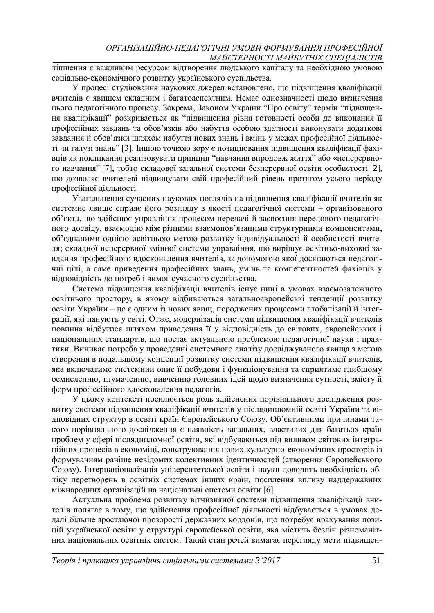ліпшення є важливим ресурсом відтворення людського капіталу та необхідною умовою соціально-економічного розвитку українського суспільства.

У процесі студіювання наукових джерел встановлено, що підвищення кваліфікації вчителів є явищем складним і багатоаспектним. Немає однозначності щодо визначення цього педагогічного процесу. Зокрема, Законом України "Про освіту" термін "підвищення кваліфікації" розкривається як "підвищення рівня готовності особи до виконання її професійних завдань та обов'язків або набуття особою здатності виконувати додаткові завдання й обов'язки шляхом набуття нових знань і вмінь у межах професійної діяльності чи галузі знань" [3]. Іншою точкою зору є позиціювання підвищення кваліфікації фахівців як покликання реалізовувати принцип "навчання впродовж життя" або «неперервного навчання" [7], тобто складової загальної системи безперервної освіти особистості [2], що дозволяє вчителеві підвищувати свій професійний рівень протягом усього періоду професійної діяльності.

Узагальнення сучасних наукових поглядів на підвищення кваліфікації вчителів як системне явище сприяє його розгляду в якості педагогічної системи – організованого об'єкта, що здійснює управління процесом передачі й засвоєння передового педагогічного досвіду, взаємодію між різними взаємопов'язаними структурними компонентами, об'єднаними однією освітньою метою розвитку індивідуальності й особистості вчителя; складної неперервної змінної системи управління, що вирішує освітньо-виховні завдання професійного вдосконалення вчителів, за допомогою якої досягаються педагогічні цілі, а саме приведення професійних знань, умінь та компетентностей фахівців у відповідність до потреб і вимог сучасного суспільства.

Система підвищення кваліфікації вчителів існує нині в умовах взаємозалежного освітнього простору, в якому відбиваються загальноєвропейські тенденції розвитку освіти України – це є одним із нових явищ, породжених процесами глобалізації й інтеграції, які панують у світі. Отже, модернізація системи підвищення кваліфікації вчителів повинна відбутися шляхом приведення її у відповідність до світових, європейських і національних стандартів, що постає актуальною проблемою педагогічної науки і практики. Виникає потреба у проведенні системного аналізу досліджуваного явища з метою створення в подальшому концепції розвитку системи підвищення кваліфікації вчителів, яка включатиме системний опис її побудови і функціонування та сприятиме глибшому осмисленню, тлумаченню, вивченню головних ідей щодо визначення сутності, змісту й форм професійного вдосконалення педагогів.

У цьому контексті посилюється роль здійснення порівняльного дослідження розвитку системи підвищення кваліфікації вчителів у післядипломній освіті України та відповідних структур в освіті країн Європейського Союзу. Об'єктивними причинами такого порівняльного дослідження є наявність загальних, властивих для багатьох країн проблем у сфері післядипломної освіти, які відбуваються під впливом світових інтеграційних процесів в економіці, конструювання нових культурно-економічних просторів із формуванням раніше невідомих колективних ідентичностей (створення Європейського Союзу). Інтернаціоналізація університетської освіти і науки доводить необхідність обліку перетворень в освітніх системах інших країн, посилення впливу наддержавних міжнародних організацій на національні системи освіти [6].

Актуальна проблема розвитку вітчизняної системи підвищення кваліфікації вчителів полягає в тому, що здійснення професійної діяльності відбувається в умовах дедалі більше зростаючої прозорості державних кордонів, що потребує врахування позицій української освіти у структурі європейської освіти, яка містить безліч різноманітних національних освітніх систем. Такий стан речей вимагає перегляду мети підвищен-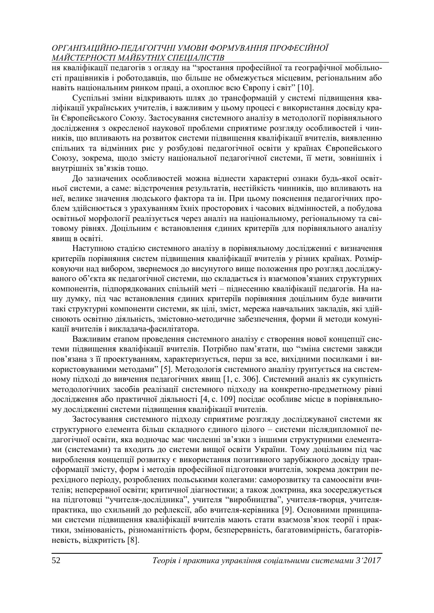ня кваліфікації педагогів з огляду на "зростання професійної та географічної мобільності працівників і роботодавців, що більше не обмежується місцевим, регіональним або навіть національним ринком праці, а охоплює всю Європу і світ" [10].

Суспільні зміни відкривають шлях до трансформацій у системі підвищення кваліфікації українських учителів, і важливим у цьому процесі є використання досвіду країн Європейського Союзу. Застосування системного аналізу в методології порівняльного дослідження з окресленої наукової проблеми сприятиме розгляду особливостей і чинників, що впливають на розвиток системи підвищення кваліфікації вчителів, виявленню спільних та відмінних рис у розбудові педагогічної освіти у країнах Європейського Союзу, зокрема, щодо змісту національної педагогічної системи, її мети, зовнішніх і внутрішніх зв'язків тощо.

До зазначених особливостей можна віднести характерні ознаки будь-якої освітньої системи, а саме: відстрочення результатів, нестійкість чинників, що впливають на неї, велике значення людського фактора та ін. При цьому пояснення педагогічних проблем здійснюється з урахуванням їхніх просторових і часових відмінностей, а побудова освітньої морфології реалізується через аналіз на національному, регіональному та світовому рівнях. Доцільним є встановлення єдиних критеріїв для порівняльного аналізу явищ в освіті.

Наступною стадією системного аналізу в порівняльному дослідженні є визначення критеріїв порівняння систем підвищення кваліфікації вчителів у різних країнах. Розмірковуючи над вибором, звернемося до висунутого вище положення про розгляд досліджуваного об'єкта як педагогічної системи, що складається із взаємопов'язаних структурних компонентів, підпорядкованих спільній меті – піднесенню кваліфікації педагогів. На нашу думку, під час встановлення єдиних критеріїв порівняння доцільним буде вивчити такі структурні компоненти системи, як цілі, зміст, мережа навчальних закладів, які здійснюють освітню діяльність, змістовно-методичне забезпечення, форми й методи комунікації вчителів і викладача-фасилітатора.

Важливим етапом проведення системного аналізу є створення нової концепції системи підвищення кваліфікації вчителів. Потрібно пам'ятати, що "зміна системи завжди пов'язана з її проектуванням, характеризується, перш за все, вихідними посилками і використовуваними методами" [5]. Методологія системного аналізу ґрунтується на системному підході до вивчення педагогічних явищ [1, с. 306]. Системний аналіз як сукупність методологічних засобів реалізації системного підходу на конкретно-предметному рівні дослідження або практичної діяльності [4, с. 109] посідає особливе місце в порівняльному дослідженні системи підвищення кваліфікації вчителів.

Застосування системного підходу сприятиме розгляду досліджуваної системи як структурного елемента більш складного єдиного цілого – системи післядипломної педагогічної освіти, яка водночас має численні зв'язки з іншими структурними елементами (системами) та входить до системи вищої освіти України. Тому доцільним під час вироблення концепції розвитку є використання позитивного зарубіжного досвіду трансформації змісту, форм і методів професійної підготовки вчителів, зокрема доктрин перехідного періоду, розроблених польськими колегами: саморозвитку та самоосвіти вчителів; неперервної освіти; критичної діагностики; а також доктрина, яка зосереджується на підготовці "учителя-дослідника", учителя "виробництва", учителя-творця, учителяпрактика, що схильний до рефлексії, або вчителя-керівника [9]. Основними принципами системи підвищення кваліфікації вчителів мають стати взаємозв'язок теорії і практики, змінюваність, різноманітність форм, безперервність, багатовимірність, багаторівневість, відкритість [8].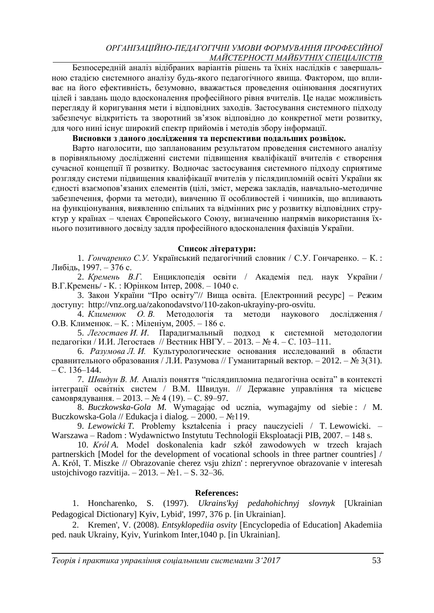Безпосередній аналіз відібраних варіантів рішень та їхніх наслідків є завершальною стадією системного аналізу будь-якого педагогічного явища. Фактором, що впливає на його ефективність, безумовно, вважається проведення оцінювання досягнутих цілей і завдань щодо вдосконалення професійного рівня вчителів. Це надає можливість перегляду й коригування мети і відповідних заходів. Застосування системного підходу забезпечує відкритість та зворотний зв'язок відповідно до конкретної мети розвитку, для чого нині існує широкий спектр прийомів і методів збору інформації.

#### **Висновки з даного дослідження та перспективи подальших розвідок.**

Варто наголосити, що запланованим результатом проведення системного аналізу в порівняльному дослідженні системи підвищення кваліфікації вчителів є створення сучасної концепції її розвитку. Водночас застосування системного підходу сприятиме розгляду системи підвищення кваліфікації вчителів у післядипломній освіті України як єдності взаємопов'язаних елементів (цілі, зміст, мережа закладів, навчально-методичне забезпечення, форми та методи), вивченню її особливостей і чинників, що впливають на функціонування, виявленню спільних та відмінних рис у розвитку відповідних структур у країнах – членах Європейського Союзу, визначенню напрямів використання їхнього позитивного досвіду задля професійного вдосконалення фахівців України.

#### **Список літератури:**

1. *Гончаренко С.У.* Український педагогічний словник / С.У. Гончаренко. – К. : Либідь, 1997. – 376 с.

2. *Кремень В.Г.* Енциклопедія освіти / Академія пед. наук України / В.Г*.*Кремень/ - К. : Юрінком Інтер, 2008. – 1040 с.

3. Закон України "Про освіту"// Вища освіта. [Електронний ресурс] – Режим доступу: http://vnz.org.ua/zakonodavstvo/110-zakon-ukrayiny-pro-osvitu.

4. *Клименюк О. В.* Методологія та методи наукового дослідження / О.В. Клименюк. – К. : Міленіум, 2005. – 186 с.

5. *Легостаев И. И*. Парадигмальный подход к системной методологии педагогіки / И.И. Легостаев // Вестник НВГУ. – 2013. – № 4. – С. 103–111.

6. *Разумова Л. И.* Культурологические основания исследований в области сравнительного образования / Л.И. Разумова // Гуманитарный вектор. – 2012. – № 3(31). – С. 136–144.

7. *Швидун В. М.* Аналіз поняття "післядипломна педагогічна освіта" в контексті інтеграції освітніх систем / В.М. Швидун. // Державне управління та місцеве самоврядування. – 2013. – № 4 (19). – С. 89–97.

8. *Buczkowska-Gola M.* Wymagając od ucznia, wymagajmy od siebie : / M. Buczkowska-Gola // Edukacja i dialog. – 2000. – №119.

9. *Lewowicki T.* Problemy kształcenia i pracy nauczycieli / T. Lewowicki. – Warszawa – Radom : Wydawnictwo Instytutu Technologii Eksploatacji PIB, 2007. – 148 s.

10. *Król A.* Model doskonalenia kadr szkół zawodowych w trzech krajach partnerskich [Model for the development of vocational schools in three partner countries] / A. Król, T. Miszke // Obrazovanie cherez vsju zhizn' : nepreryvnoe obrazovanie v interesah ustojchivogo razvitija.  $-2013. - N_21. - S. 32-36.$ 

#### **References:**

1. Honcharenko, S. (1997). *Ukrains'kyj pedahohichnyj slovnyk* Ukrainian Pedagogical Dictionary Kyiv, Lybid', 1997, 376 p. [in Ukrainian].

2. Kremen', V. (2008). *Entsyklopediia osvity* [Encyclopedia of Education] Akademiia ped. nauk Ukrainy, Kyiv, Yurinkom Inter,1040 p. [in Ukrainian].